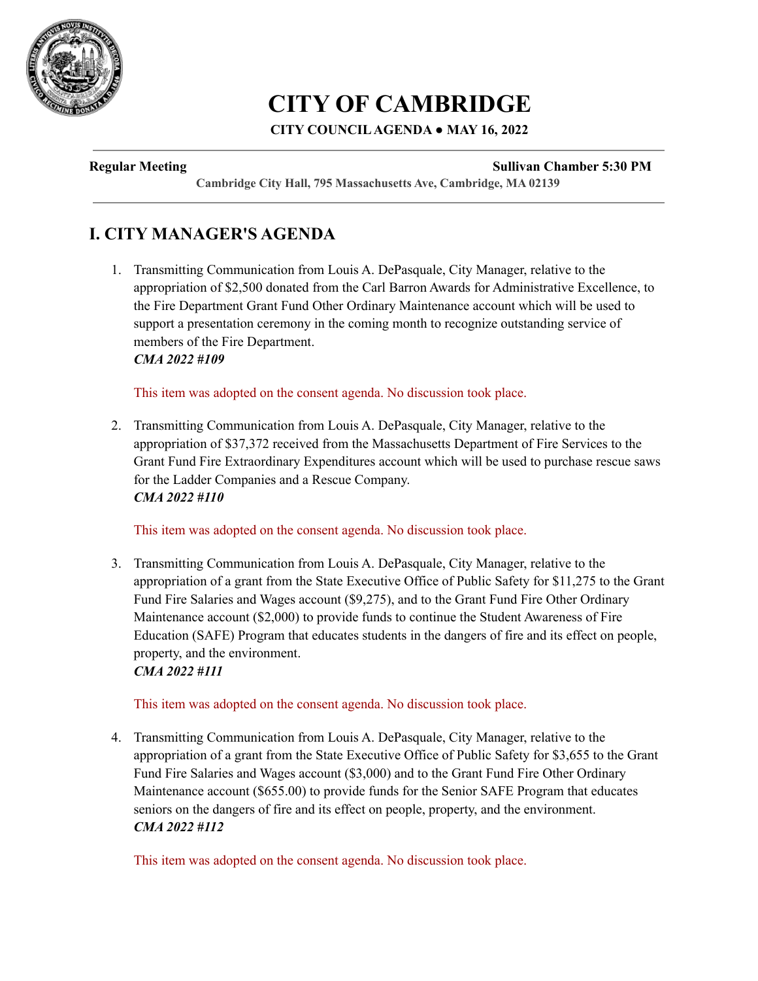

# **CITY OF CAMBRIDGE**

#### **CITY COUNCILAGENDA ● MAY 16, 2022**

#### **Regular Meeting Sullivan Chamber 5:30 PM**

**Cambridge City Hall, 795 Massachusetts Ave, Cambridge, MA 02139**

# **I. CITY MANAGER'S AGENDA**

1. Transmitting Communication from Louis A. DePasquale, City Manager, relative to the appropriation of \$2,500 donated from the Carl Barron Awards for Administrative Excellence, to the Fire Department Grant Fund Other Ordinary Maintenance account which will be used to support a presentation ceremony in the coming month to recognize outstanding service of members of the Fire Department. *CMA 2022 #109*

This item was adopted on the consent agenda. No discussion took place.

2. Transmitting Communication from Louis A. DePasquale, City Manager, relative to the appropriation of \$37,372 received from the Massachusetts Department of Fire Services to the Grant Fund Fire Extraordinary Expenditures account which will be used to purchase rescue saws for the Ladder Companies and a Rescue Company. *CMA 2022 #110*

This item was adopted on the consent agenda. No discussion took place.

3. Transmitting Communication from Louis A. DePasquale, City Manager, relative to the appropriation of a grant from the State Executive Office of Public Safety for \$11,275 to the Grant Fund Fire Salaries and Wages account (\$9,275), and to the Grant Fund Fire Other Ordinary Maintenance account (\$2,000) to provide funds to continue the Student Awareness of Fire Education (SAFE) Program that educates students in the dangers of fire and its effect on people, property, and the environment. *CMA 2022 #111*

This item was adopted on the consent agenda. No discussion took place.

4. Transmitting Communication from Louis A. DePasquale, City Manager, relative to the appropriation of a grant from the State Executive Office of Public Safety for \$3,655 to the Grant Fund Fire Salaries and Wages account (\$3,000) and to the Grant Fund Fire Other Ordinary Maintenance account (\$655.00) to provide funds for the Senior SAFE Program that educates seniors on the dangers of fire and its effect on people, property, and the environment. *CMA 2022 #112*

This item was adopted on the consent agenda. No discussion took place.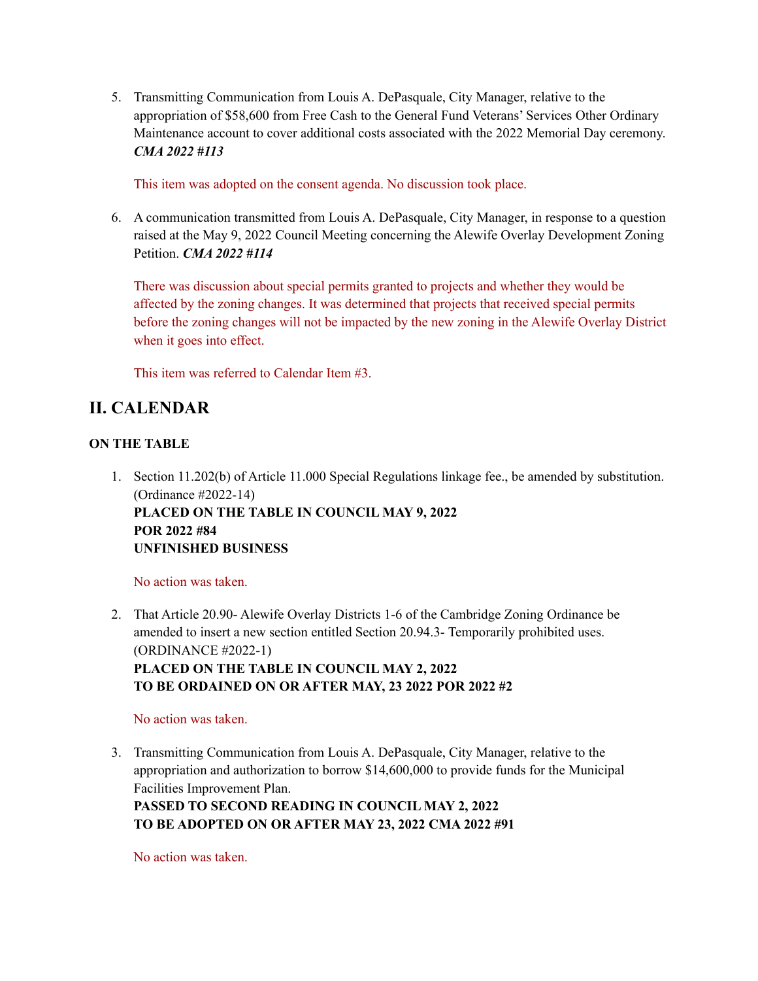5. Transmitting Communication from Louis A. DePasquale, City Manager, relative to the appropriation of \$58,600 from Free Cash to the General Fund Veterans' Services Other Ordinary Maintenance account to cover additional costs associated with the 2022 Memorial Day ceremony. *CMA 2022 #113*

This item was adopted on the consent agenda. No discussion took place.

6. A communication transmitted from Louis A. DePasquale, City Manager, in response to a question raised at the May 9, 2022 Council Meeting concerning the Alewife Overlay Development Zoning Petition. *CMA 2022 #114*

There was discussion about special permits granted to projects and whether they would be affected by the zoning changes. It was determined that projects that received special permits before the zoning changes will not be impacted by the new zoning in the Alewife Overlay District when it goes into effect.

This item was referred to Calendar Item #3.

# **II. CALENDAR**

#### **ON THE TABLE**

1. Section 11.202(b) of Article 11.000 Special Regulations linkage fee., be amended by substitution. (Ordinance #2022-14) **PLACED ON THE TABLE IN COUNCIL MAY 9, 2022 POR 2022 #84 UNFINISHED BUSINESS**

#### No action was taken.

2. That Article 20.90- Alewife Overlay Districts 1-6 of the Cambridge Zoning Ordinance be amended to insert a new section entitled Section 20.94.3- Temporarily prohibited uses. (ORDINANCE #2022-1) **PLACED ON THE TABLE IN COUNCIL MAY 2, 2022 TO BE ORDAINED ON OR AFTER MAY, 23 2022 POR 2022 #2**

#### No action was taken.

3. Transmitting Communication from Louis A. DePasquale, City Manager, relative to the appropriation and authorization to borrow \$14,600,000 to provide funds for the Municipal Facilities Improvement Plan.

**PASSED TO SECOND READING IN COUNCIL MAY 2, 2022 TO BE ADOPTED ON OR AFTER MAY 23, 2022 CMA 2022 #91**

No action was taken.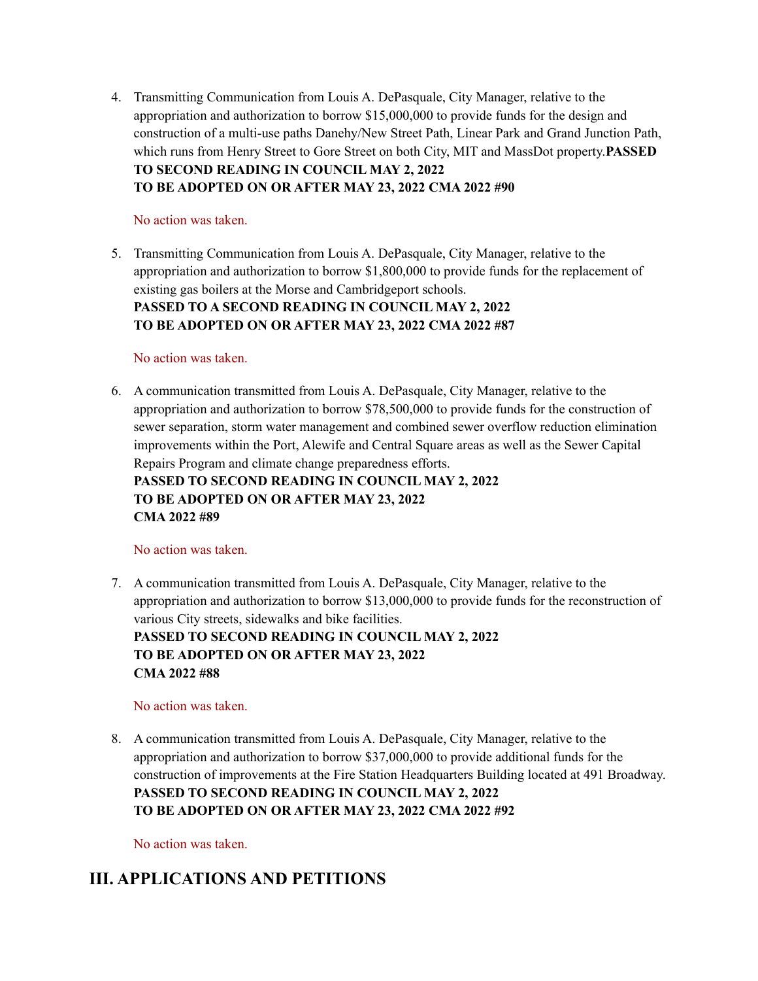4. Transmitting Communication from Louis A. DePasquale, City Manager, relative to the appropriation and authorization to borrow \$15,000,000 to provide funds for the design and construction of a multi-use paths Danehy/New Street Path, Linear Park and Grand Junction Path, which runs from Henry Street to Gore Street on both City, MIT and MassDot property.**PASSED TO SECOND READING IN COUNCIL MAY 2, 2022 TO BE ADOPTED ON OR AFTER MAY 23, 2022 CMA 2022 #90**

#### No action was taken.

5. Transmitting Communication from Louis A. DePasquale, City Manager, relative to the appropriation and authorization to borrow \$1,800,000 to provide funds for the replacement of existing gas boilers at the Morse and Cambridgeport schools. **PASSED TO A SECOND READING IN COUNCIL MAY 2, 2022 TO BE ADOPTED ON OR AFTER MAY 23, 2022 CMA 2022 #87**

#### No action was taken.

6. A communication transmitted from Louis A. DePasquale, City Manager, relative to the appropriation and authorization to borrow \$78,500,000 to provide funds for the construction of sewer separation, storm water management and combined sewer overflow reduction elimination improvements within the Port, Alewife and Central Square areas as well as the Sewer Capital Repairs Program and climate change preparedness efforts.

**PASSED TO SECOND READING IN COUNCIL MAY 2, 2022 TO BE ADOPTED ON OR AFTER MAY 23, 2022 CMA 2022 #89**

#### No action was taken.

7. A communication transmitted from Louis A. DePasquale, City Manager, relative to the appropriation and authorization to borrow \$13,000,000 to provide funds for the reconstruction of various City streets, sidewalks and bike facilities.

**PASSED TO SECOND READING IN COUNCIL MAY 2, 2022 TO BE ADOPTED ON OR AFTER MAY 23, 2022 CMA 2022 #88**

#### No action was taken.

8. A communication transmitted from Louis A. DePasquale, City Manager, relative to the appropriation and authorization to borrow \$37,000,000 to provide additional funds for the construction of improvements at the Fire Station Headquarters Building located at 491 Broadway. **PASSED TO SECOND READING IN COUNCIL MAY 2, 2022 TO BE ADOPTED ON OR AFTER MAY 23, 2022 CMA 2022 #92**

No action was taken.

# **III. APPLICATIONS AND PETITIONS**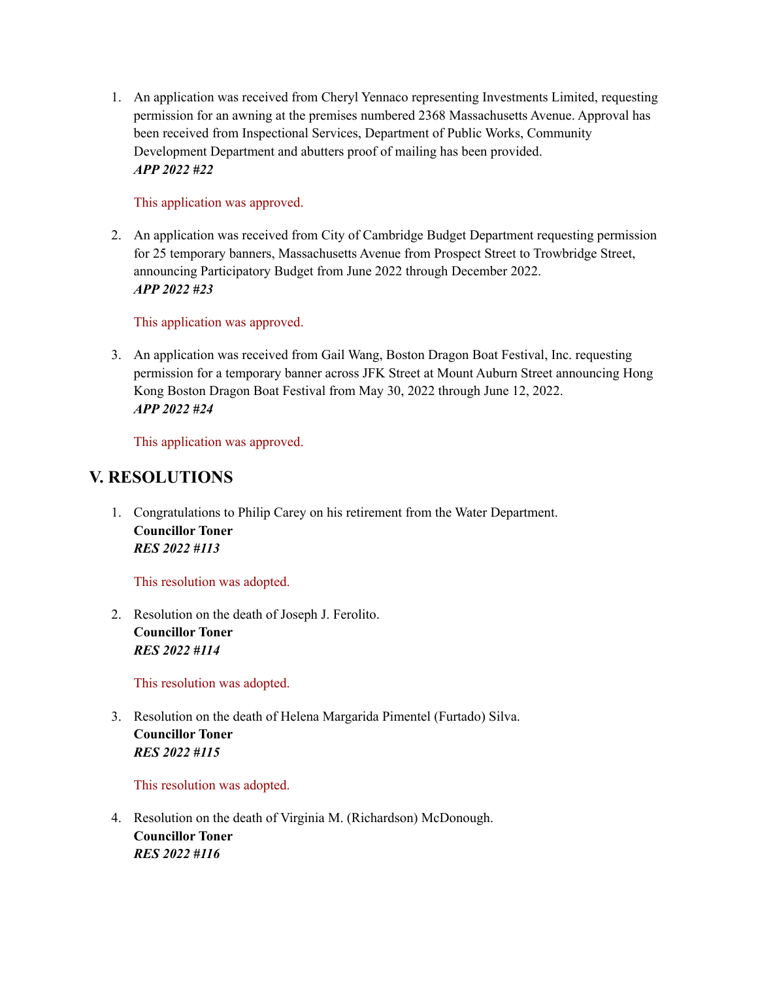1. An application was received from Cheryl Yennaco representing Investments Limited, requesting permission for an awning at the premises numbered 2368 Massachusetts Avenue. Approval has been received from Inspectional Services, Department of Public Works, Community Development Department and abutters proof of mailing has been provided. *APP 2022 #22*

#### This application was approved.

2. An application was received from City of Cambridge Budget Department requesting permission for 25 temporary banners, Massachusetts Avenue from Prospect Street to Trowbridge Street, announcing Participatory Budget from June 2022 through December 2022. *APP 2022 #23*

#### This application was approved.

3. An application was received from Gail Wang, Boston Dragon Boat Festival, Inc. requesting permission for a temporary banner across JFK Street at Mount Auburn Street announcing Hong Kong Boston Dragon Boat Festival from May 30, 2022 through June 12, 2022. *APP 2022 #24*

This application was approved.

## **V. RESOLUTIONS**

1. Congratulations to Philip Carey on his retirement from the Water Department. **Councillor Toner** *RES 2022 #113*

This resolution was adopted.

2. Resolution on the death of Joseph J. Ferolito. **Councillor Toner** *RES 2022 #114*

This resolution was adopted.

3. Resolution on the death of Helena Margarida Pimentel (Furtado) Silva. **Councillor Toner** *RES 2022 #115*

This resolution was adopted.

4. Resolution on the death of Virginia M. (Richardson) McDonough. **Councillor Toner** *RES 2022 #116*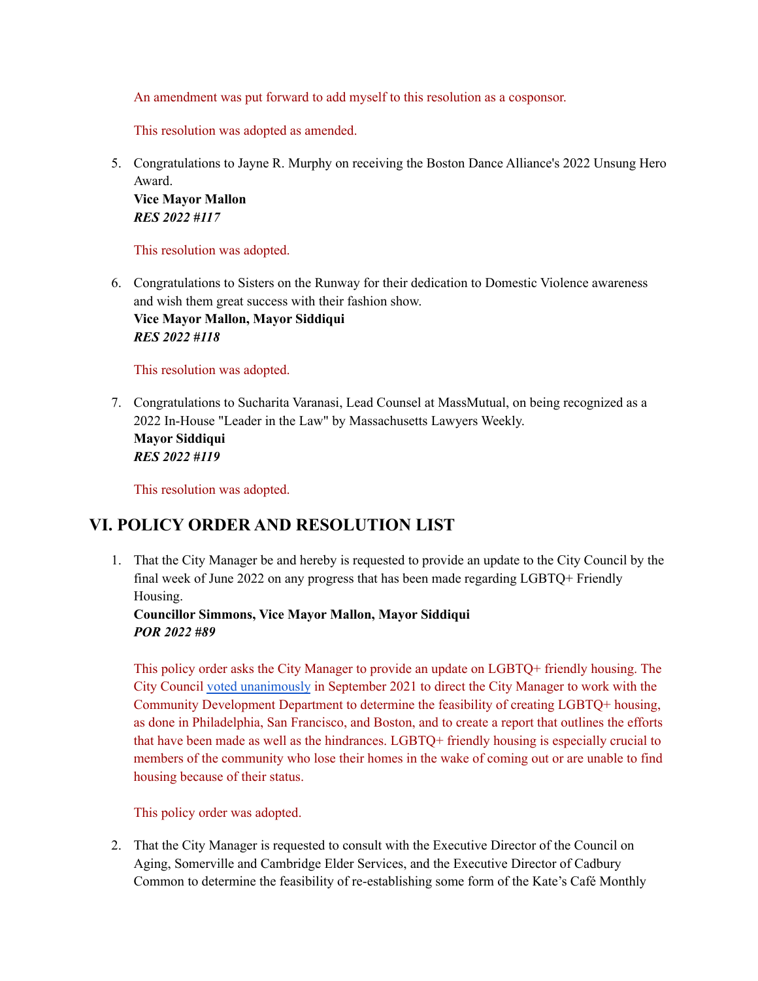An amendment was put forward to add myself to this resolution as a cosponsor.

This resolution was adopted as amended.

5. Congratulations to Jayne R. Murphy on receiving the Boston Dance Alliance's 2022 Unsung Hero Award. **Vice Mayor Mallon**

*RES 2022 #117*

This resolution was adopted.

6. Congratulations to Sisters on the Runway for their dedication to Domestic Violence awareness and wish them great success with their fashion show. **Vice Mayor Mallon, Mayor Siddiqui** *RES 2022 #118*

This resolution was adopted.

7. Congratulations to Sucharita Varanasi, Lead Counsel at MassMutual, on being recognized as a 2022 In-House "Leader in the Law" by Massachusetts Lawyers Weekly. **Mayor Siddiqui** *RES 2022 #119*

This resolution was adopted.

### **VI. POLICY ORDER AND RESOLUTION LIST**

1. That the City Manager be and hereby is requested to provide an update to the City Council by the final week of June 2022 on any progress that has been made regarding LGBTQ+ Friendly Housing.

**Councillor Simmons, Vice Mayor Mallon, Mayor Siddiqui** *POR 2022 #89*

This policy order asks the City Manager to provide an update on LGBTQ+ friendly housing. The City Council voted [unanimously](http://cambridgema.iqm2.com/Citizens/Detail_LegiFile.aspx?ID=14525) in September 2021 to direct the City Manager to work with the Community Development Department to determine the feasibility of creating LGBTQ+ housing, as done in Philadelphia, San Francisco, and Boston, and to create a report that outlines the efforts that have been made as well as the hindrances. LGBTQ+ friendly housing is especially crucial to members of the community who lose their homes in the wake of coming out or are unable to find housing because of their status.

This policy order was adopted.

2. That the City Manager is requested to consult with the Executive Director of the Council on Aging, Somerville and Cambridge Elder Services, and the Executive Director of Cadbury Common to determine the feasibility of re-establishing some form of the Kate's Café Monthly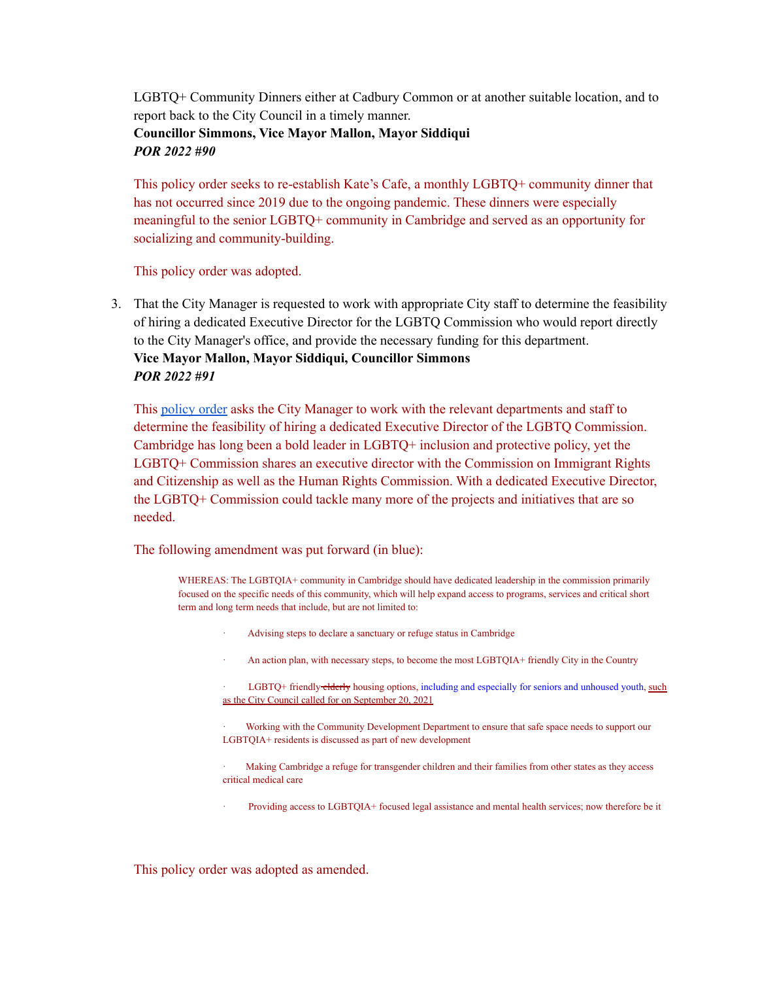LGBTQ+ Community Dinners either at Cadbury Common or at another suitable location, and to report back to the City Council in a timely manner. **Councillor Simmons, Vice Mayor Mallon, Mayor Siddiqui** *POR 2022 #90*

This policy order seeks to re-establish Kate's Cafe, a monthly LGBTQ+ community dinner that has not occurred since 2019 due to the ongoing pandemic. These dinners were especially meaningful to the senior LGBTQ+ community in Cambridge and served as an opportunity for socializing and community-building.

This policy order was adopted.

3. That the City Manager is requested to work with appropriate City staff to determine the feasibility of hiring a dedicated Executive Director for the LGBTQ Commission who would report directly to the City Manager's office, and provide the necessary funding for this department. **Vice Mayor Mallon, Mayor Siddiqui, Councillor Simmons** *POR 2022 #91*

This [policy](https://cambridgema.iqm2.com/Citizens/Detail_LegiFile.aspx?Frame=None&MeetingID=4029&MediaPosition=&ID=16294&CssClass=) order asks the City Manager to work with the relevant departments and staff to determine the feasibility of hiring a dedicated Executive Director of the LGBTQ Commission. Cambridge has long been a bold leader in LGBTQ+ inclusion and protective policy, yet the LGBTQ+ Commission shares an executive director with the Commission on Immigrant Rights and Citizenship as well as the Human Rights Commission. With a dedicated Executive Director, the LGBTQ+ Commission could tackle many more of the projects and initiatives that are so needed.

The following amendment was put forward (in blue):

WHEREAS: The LGBTQIA+ community in Cambridge should have dedicated leadership in the commission primarily focused on the specific needs of this community, which will help expand access to programs, services and critical short term and long term needs that include, but are not limited to:

- · Advising steps to declare a sanctuary or refuge status in Cambridge
- An action plan, with necessary steps, to become the most LGBTQIA+ friendly City in the Country

LGBTQ+ friendly elderly housing options, including and especially for seniors and unhoused youth, [such](http://cambridgema.iqm2.com/Citizens/Detail_LegiFile.aspx?ID=14525) as the City Council called for on [September](http://cambridgema.iqm2.com/Citizens/Detail_LegiFile.aspx?ID=14525) 20, 2021

· Working with the Community Development Department to ensure that safe space needs to support our LGBTQIA+ residents is discussed as part of new development

Making Cambridge a refuge for transgender children and their families from other states as they access critical medical care

Providing access to LGBTQIA+ focused legal assistance and mental health services; now therefore be it

This policy order was adopted as amended.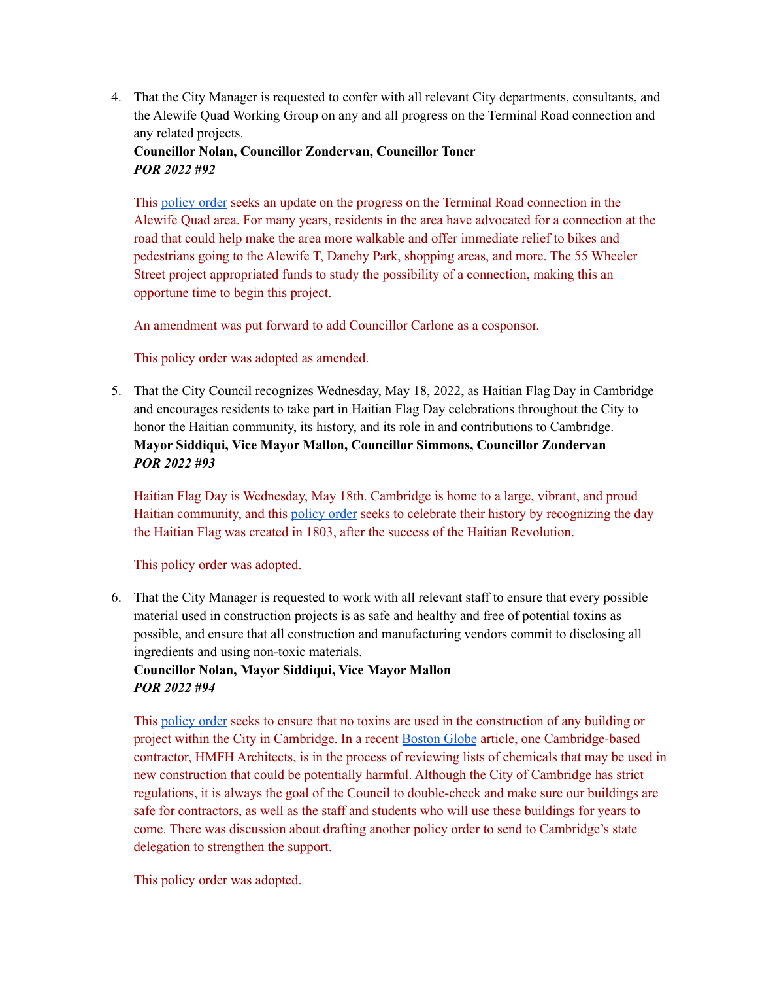4. That the City Manager is requested to confer with all relevant City departments, consultants, and the Alewife Quad Working Group on any and all progress on the Terminal Road connection and any related projects.

#### **Councillor Nolan, Councillor Zondervan, Councillor Toner** *POR 2022 #92*

This [policy](https://cambridgema.iqm2.com/Citizens/Detail_LegiFile.aspx?Frame=None&MeetingID=4029&MediaPosition=&ID=16306&CssClass=) order seeks an update on the progress on the Terminal Road connection in the Alewife Quad area. For many years, residents in the area have advocated for a connection at the road that could help make the area more walkable and offer immediate relief to bikes and pedestrians going to the Alewife T, Danehy Park, shopping areas, and more. The 55 Wheeler Street project appropriated funds to study the possibility of a connection, making this an opportune time to begin this project.

An amendment was put forward to add Councillor Carlone as a cosponsor.

This policy order was adopted as amended.

5. That the City Council recognizes Wednesday, May 18, 2022, as Haitian Flag Day in Cambridge and encourages residents to take part in Haitian Flag Day celebrations throughout the City to honor the Haitian community, its history, and its role in and contributions to Cambridge. **Mayor Siddiqui, Vice Mayor Mallon, Councillor Simmons, Councillor Zondervan** *POR 2022 #93*

Haitian Flag Day is Wednesday, May 18th. Cambridge is home to a large, vibrant, and proud Haitian community, and this [policy](https://cambridgema.iqm2.com/Citizens/Detail_LegiFile.aspx?Frame=None&MeetingID=4029&MediaPosition=&ID=16309&CssClass=) order seeks to celebrate their history by recognizing the day the Haitian Flag was created in 1803, after the success of the Haitian Revolution.

This policy order was adopted.

6. That the City Manager is requested to work with all relevant staff to ensure that every possible material used in construction projects is as safe and healthy and free of potential toxins as possible, and ensure that all construction and manufacturing vendors commit to disclosing all ingredients and using non-toxic materials.

#### **Councillor Nolan, Mayor Siddiqui, Vice Mayor Mallon** *POR 2022 #94*

This [policy](https://cambridgema.iqm2.com/Citizens/Detail_LegiFile.aspx?Frame=None&MeetingID=4029&MediaPosition=&ID=16310&CssClass=) order seeks to ensure that no toxins are used in the construction of any building or project within the City in Cambridge. In a recent [Boston](https://www.bostonglobe.com/2022/05/02/metro/inside-growing-mission-reduce-toxic-chemicals-schools-homes-offices/?event=event12) Globe article, one Cambridge-based contractor, HMFH Architects, is in the process of reviewing lists of chemicals that may be used in new construction that could be potentially harmful. Although the City of Cambridge has strict regulations, it is always the goal of the Council to double-check and make sure our buildings are safe for contractors, as well as the staff and students who will use these buildings for years to come. There was discussion about drafting another policy order to send to Cambridge's state delegation to strengthen the support.

This policy order was adopted.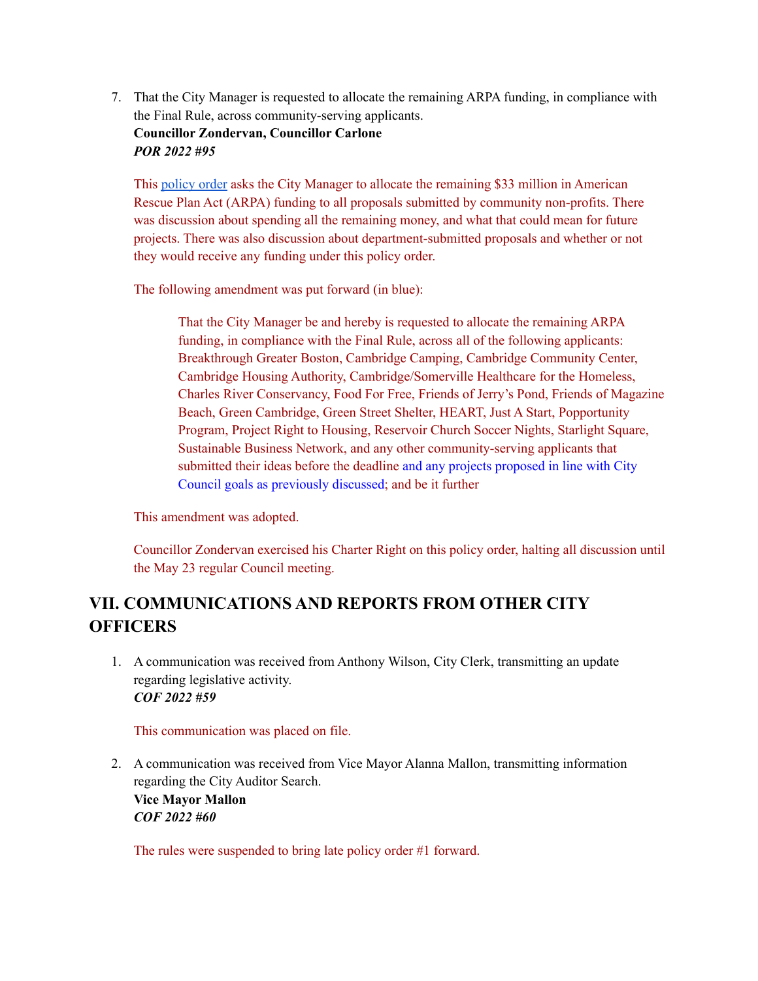7. That the City Manager is requested to allocate the remaining ARPA funding, in compliance with the Final Rule, across community-serving applicants. **Councillor Zondervan, Councillor Carlone** *POR 2022 #95*

This [policy](https://cambridgema.iqm2.com/Citizens/Detail_LegiFile.aspx?Frame=None&MeetingID=4029&MediaPosition=&ID=16312&CssClass=) order asks the City Manager to allocate the remaining \$33 million in American Rescue Plan Act (ARPA) funding to all proposals submitted by community non-profits. There was discussion about spending all the remaining money, and what that could mean for future projects. There was also discussion about department-submitted proposals and whether or not they would receive any funding under this policy order.

The following amendment was put forward (in blue):

That the City Manager be and hereby is requested to allocate the remaining ARPA funding, in compliance with the Final Rule, across all of the following applicants: Breakthrough Greater Boston, Cambridge Camping, Cambridge Community Center, Cambridge Housing Authority, Cambridge/Somerville Healthcare for the Homeless, Charles River Conservancy, Food For Free, Friends of Jerry's Pond, Friends of Magazine Beach, Green Cambridge, Green Street Shelter, HEART, Just A Start, Popportunity Program, Project Right to Housing, Reservoir Church Soccer Nights, Starlight Square, Sustainable Business Network, and any other community-serving applicants that submitted their ideas before the deadline and any projects proposed in line with City Council goals as previously discussed; and be it further

This amendment was adopted.

Councillor Zondervan exercised his Charter Right on this policy order, halting all discussion until the May 23 regular Council meeting.

# **VII. COMMUNICATIONS AND REPORTS FROM OTHER CITY OFFICERS**

1. A communication was received from Anthony Wilson, City Clerk, transmitting an update regarding legislative activity. *COF 2022 #59*

This communication was placed on file.

2. A communication was received from Vice Mayor Alanna Mallon, transmitting information regarding the City Auditor Search.

**Vice Mayor Mallon** *COF 2022 #60*

The rules were suspended to bring late policy order #1 forward.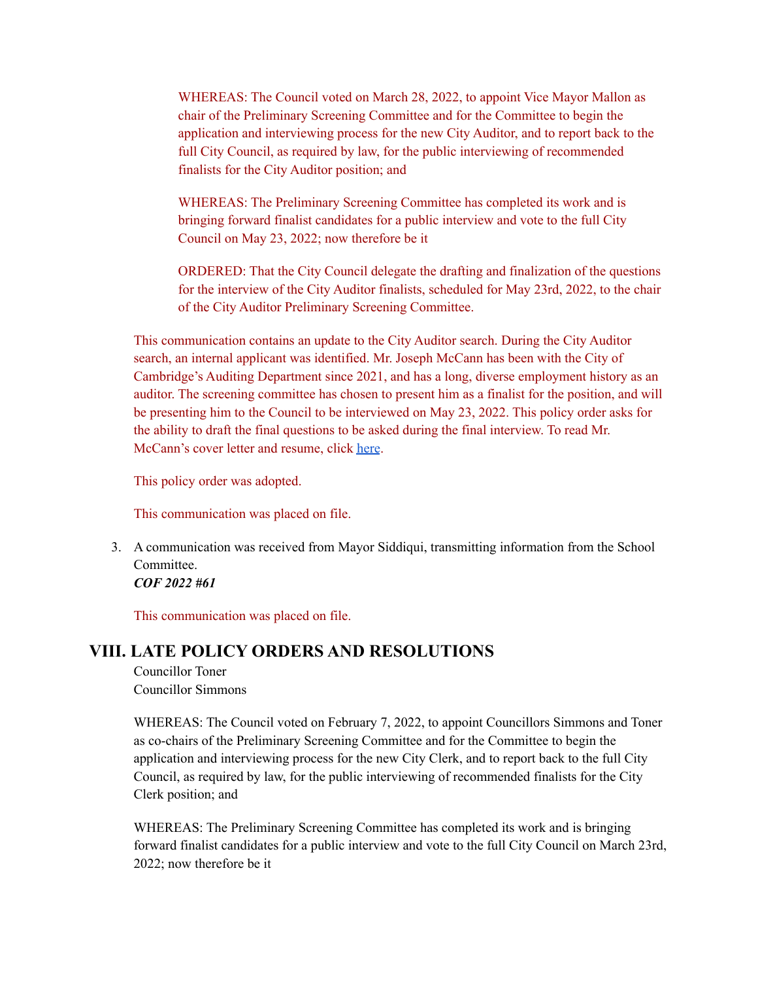WHEREAS: The Council voted on March 28, 2022, to appoint Vice Mayor Mallon as chair of the Preliminary Screening Committee and for the Committee to begin the application and interviewing process for the new City Auditor, and to report back to the full City Council, as required by law, for the public interviewing of recommended finalists for the City Auditor position; and

WHEREAS: The Preliminary Screening Committee has completed its work and is bringing forward finalist candidates for a public interview and vote to the full City Council on May 23, 2022; now therefore be it

ORDERED: That the City Council delegate the drafting and finalization of the questions for the interview of the City Auditor finalists, scheduled for May 23rd, 2022, to the chair of the City Auditor Preliminary Screening Committee.

This communication contains an update to the City Auditor search. During the City Auditor search, an internal applicant was identified. Mr. Joseph McCann has been with the City of Cambridge's Auditing Department since 2021, and has a long, diverse employment history as an auditor. The screening committee has chosen to present him as a finalist for the position, and will be presenting him to the Council to be interviewed on May 23, 2022. This policy order asks for the ability to draft the final questions to be asked during the final interview. To read Mr. McCann's cover letter and resume, click [here](https://cambridgema.iqm2.com/Citizens/Detail_LegiFile.aspx?Frame=None&MeetingID=4029&MediaPosition=&ID=16297&CssClass=).

This policy order was adopted.

This communication was placed on file.

3. A communication was received from Mayor Siddiqui, transmitting information from the School Committee. *COF 2022 #61*

This communication was placed on file.

#### **VIII. LATE POLICY ORDERS AND RESOLUTIONS**

Councillor Toner Councillor Simmons

WHEREAS: The Council voted on February 7, 2022, to appoint Councillors Simmons and Toner as co-chairs of the Preliminary Screening Committee and for the Committee to begin the application and interviewing process for the new City Clerk, and to report back to the full City Council, as required by law, for the public interviewing of recommended finalists for the City Clerk position; and

WHEREAS: The Preliminary Screening Committee has completed its work and is bringing forward finalist candidates for a public interview and vote to the full City Council on March 23rd, 2022; now therefore be it